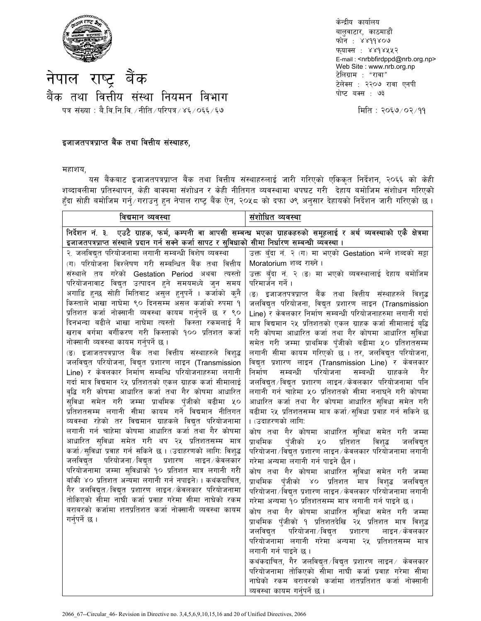

केन्द्रीय कार्यालय बालवाटार, काठमाडौं फोन: ४४११४०७ फ्याक्स : ४४१४५५२ E-mail: < nrbbfirdppd@nrb.org.np> Web Site: www.nrb.org.np टेलिग्राम : "रावा" टेलेक्स : २२०७ रावा एनपी पोष्ट बक्स : ७३

नेपाल राष्ट्र बैंक बैंक तथा वित्तीय संस्था नियमन विभाग पत्र संख्या : बै.वि.नि.वि. /नीति /परिपत्र / ४६ / ०६६ / ६७

## इजाजतपत्रप्राप्त बैंक तथा वित्तीय संस्थाहरु,

महाशय.

यस बैंकबाट इजाजतपत्रप्राप्त बैंक तथा वित्तीय संस्थाहरुलाई जारी गरिएको एकिकृत निर्देशन, २०६६ को केही शब्दावलीमा प्रतिस्थापन, केही वाक्यमा संशोधन र केही नीतिगत व्यवस्थामा थपघट गरी देहाय बमोजिम संशोधन गरिएको हुँदा सोही बमोजिम गर्नु⁄गराउनु हुन नेपाल राष्ट्र बैंक ऐन, २०५८ को दफा ७९ अनुसार देहायको निर्देशन जारी गरिएको छ।

| विद्यमान व्यवस्था                                                                                                                                                                                                                                                                                                                                                                                                                                                                                                                                                                                                                                                                                                                                                                                                                                                                                                                                                                                                                                                                                                                                                                                                                                                                                                                                                                                                                                                                                                                                                           | संशोधित व्यवस्था                                                                                                                                                                                                                                                                                                                                                                                                                                                                                                                                                                                                                                                                                                                                                                                                                                                                                                                                                                                                                                                                                                                                                                                                                                                                                                                                                                                                                                                                                                                                                                        |  |
|-----------------------------------------------------------------------------------------------------------------------------------------------------------------------------------------------------------------------------------------------------------------------------------------------------------------------------------------------------------------------------------------------------------------------------------------------------------------------------------------------------------------------------------------------------------------------------------------------------------------------------------------------------------------------------------------------------------------------------------------------------------------------------------------------------------------------------------------------------------------------------------------------------------------------------------------------------------------------------------------------------------------------------------------------------------------------------------------------------------------------------------------------------------------------------------------------------------------------------------------------------------------------------------------------------------------------------------------------------------------------------------------------------------------------------------------------------------------------------------------------------------------------------------------------------------------------------|-----------------------------------------------------------------------------------------------------------------------------------------------------------------------------------------------------------------------------------------------------------------------------------------------------------------------------------------------------------------------------------------------------------------------------------------------------------------------------------------------------------------------------------------------------------------------------------------------------------------------------------------------------------------------------------------------------------------------------------------------------------------------------------------------------------------------------------------------------------------------------------------------------------------------------------------------------------------------------------------------------------------------------------------------------------------------------------------------------------------------------------------------------------------------------------------------------------------------------------------------------------------------------------------------------------------------------------------------------------------------------------------------------------------------------------------------------------------------------------------------------------------------------------------------------------------------------------------|--|
| निर्देशन नं. ३. एउटै ग्राहक, फर्म, कम्पनी वा आपसी सम्बन्ध भएका ग्राहकहरुको समूहलाई र अर्थ व्यवस्थाको एकै क्षेत्रमा<br>इजाजतपत्रप्राप्त संस्थाले प्रदान गर्न सक्ने कर्जा सापट र सुविधाको सीमा निर्धारण सम्बन्धी व्यवस्था ।                                                                                                                                                                                                                                                                                                                                                                                                                                                                                                                                                                                                                                                                                                                                                                                                                                                                                                                                                                                                                                                                                                                                                                                                                                                                                                                                                   |                                                                                                                                                                                                                                                                                                                                                                                                                                                                                                                                                                                                                                                                                                                                                                                                                                                                                                                                                                                                                                                                                                                                                                                                                                                                                                                                                                                                                                                                                                                                                                                         |  |
| २. जलविद्युत परियोजनामा लगानी सम्बन्धी विशेष व्यवस्था<br>(ग) परियोजना विश्लेषण गरी सम्बन्धित बैंक तथा वित्तीय<br>संस्थाले तय गरेको Gestation Period अथवा त्यस्तो<br>परियोजनावाट विद्युत उत्पादन हुने समयमध्ये जुन समय<br>अगाडि हुन्छ सोही मितिवाट असुल हुनुपर्ने । कर्जाको कुनै<br>किस्ताले भाखा नाघेमा ९० दिनसम्म असल कर्जाको रुपमा १<br>प्रतिशत कर्जा नोक्सानी व्यवस्था कायम गर्नुपर्ने छ र ९०<br>दिनभन्दा बढीले भाखा नाघेमा त्यस्तो  किस्ता रकमलाई नै<br>खराव वर्गमा वर्गीकरण गरी किस्ताको १०० प्रतिशत कर्जा<br>नोक्सानी व्यवस्था कायम गर्नुपर्ने छ ।<br>(ङ) इजाजतपत्रप्राप्त बैंक तथा वित्तीय संस्थाहरुले विशुद्ध<br>जलविद्युत परियोजना, विद्युत प्रशारण लाइन (Transmission<br>Line) र केवलकार निर्माण सम्बन्धि परियोजनाहरुमा लगानी<br>गर्दा मात्र विद्यमान २५ प्रतिशतको एकल ग्राहक कर्जा सीमालाई<br>वृद्धि गरी कोषमा आधारित कर्जा तथा गैर कोषमा आधारित<br>सुविधा समेत गरी जम्मा प्राथमिक पुँजीको बढीमा ५०<br>प्रतिशतसम्म लगानी सीमा कायम गर्ने विद्यमान नीतिगत<br>व्यवस्था रहेको तर विद्यमान ग्राहकले विद्युत परियोजनामा<br>लगानी गर्न चाहेमा कोषमा आधारित कर्जा तथा गैर कोषमा<br>आधारित सुविधा समेत गरी थप २५ प्रतिशतसम्म मात्र<br>कर्जा ∕ सुविधा प्रवाह गर्न सकिने छ । (उदाहरणको लागि: विश्द्ध<br>जलविद्युत परियोजना विद्युत प्रशारण लाइन ∕केवलकार<br>परियोजनामा जम्मा सुविधाको १० प्रतिशत मात्र लगानी गरी<br>बाँकी ४० प्रतिशत अन्यमा लगानी गर्न नपाइने) । कथंकदाचित,<br>गैर जलविद्युत ∕विद्युत प्रशारण लाइन ∕केवलकार परियोजनामा<br>तोकिएको सीमा नाघी कर्जा प्रवाह गरेमा सीमा नाघेको रकम<br>बराबरको कर्जामा शतप्रतिशत कर्जा नोक्सानी व्यवस्था कायम<br>गर्नुपर्ने छ । | उक्त बँदा नं. २ (ग) मा भएको Gestation भन्ने शब्दको सट्टा<br>Moratorium शब्द राख्ने।<br>उक्त बुँदा नं. २ (ड) मा भएको व्यवस्थालाई देहाय बमोजिम<br>परिमार्जन गर्ने ।<br>(ङ) इजाजतपत्रप्राप्त बैंक तथा वित्तीय संस्थाहरुले विशुद्ध<br>जलविद्युत परियोजना, विद्युत प्रशारण लाइन (Transmission<br>Line) र केवलकार निर्माण सम्बन्धी परियोजनाहरुमा लगानी गर्दा<br>मात्र विद्यमान २५ प्रतिशतको एकल ग्राहक कर्जा सीमालाई बृद्धि<br>गरी कोषमा आधारित कर्जा तथा गैर कोषमा आधारित सुविधा<br>समेत गरी जम्मा प्राथमिक पुँजीको बढीमा ५० प्रतिशतसम्म<br>लगानी सीमा कायम गरिएको छ । तर, जलविद्युत परियोजना,<br>विद्युत प्रशारण लाइन (Transmission Line) र केवलकार<br>सम्बन्धी परियोजना<br>सम्बन्धी<br>निर्माण<br>ग्राहकले<br>गैर<br>जलविद्युत ∕विद्युत प्रशारण लाइन ∕केवलकार परियोजनामा पनि<br>लगानी गर्न चाहेमा ५० प्रतिशतको सीमा ननाघ्ने गरी कोषमा<br>आधारित कर्जा तथा गैर कोषमा आधारित सुविधा समेत गरी<br>बढीमा २५ प्रतिशतसम्म मात्र कर्जा∕सुविधा प्रवाह गर्न सकिने छ<br>। (उदाहरणको लागि:<br>कोष तथा गैर कोषमा आधारित सुविधा समेत गरी जम्मा<br>प्राथमिक पुँजीको ५० प्रतिशत विशुद्ध<br>जलविद्युत<br>परियोजना ∕ विद्युत प्रशारण लाइन ∕ केवलकार परियोजनामा लगानी<br>गरेमा अन्यमा लगानी गर्न पाइने छैन ।<br>कोष तथा गैर कोषमा आधारित सुविधा समेत गरी जम्मा<br>प्राथमिक पुँजीको ४० प्रतिशत मात्र विशुद्ध जलविद्युत<br>परियोजना ∕ विद्युत प्रशारण लाइन ∕ केवलकार परियोजनामा लगानी<br>गरेमा अन्यमा १० प्रतिशतसम्म मात्र लगानी गर्न पाइने छ ।<br>कोष तथा गैर कोषमा आधारित सुविधा समेत गरी जम्मा<br>प्राथमिक पुँजीको १ प्रतिशतदेखि २५ प्रतिशत मात्र विशुद्ध<br>जलविद्युत परियोजना विद्युत प्रशारण लाइन केवलकार |  |
|                                                                                                                                                                                                                                                                                                                                                                                                                                                                                                                                                                                                                                                                                                                                                                                                                                                                                                                                                                                                                                                                                                                                                                                                                                                                                                                                                                                                                                                                                                                                                                             | परियोजनामा लगानी गरेमा अन्यमा २५ प्रतिशतसम्म मात्र<br>लगानी गर्न पाइने छ ।<br>कथंकदाचित, गैर जलविद्युत ⁄विद्युत प्रशारण लाइन ∕ केवलकार                                                                                                                                                                                                                                                                                                                                                                                                                                                                                                                                                                                                                                                                                                                                                                                                                                                                                                                                                                                                                                                                                                                                                                                                                                                                                                                                                                                                                                                  |  |
|                                                                                                                                                                                                                                                                                                                                                                                                                                                                                                                                                                                                                                                                                                                                                                                                                                                                                                                                                                                                                                                                                                                                                                                                                                                                                                                                                                                                                                                                                                                                                                             | परियोजनामा तोकिएको सीमा नाघी कर्जा प्रवाह गरेमा सीमा<br>नाघेको रकम बराबरको कर्जामा शतप्रतिशत कर्जा नोक्सानी<br>व्यवस्था कायम गर्नपर्ने छ ।                                                                                                                                                                                                                                                                                                                                                                                                                                                                                                                                                                                                                                                                                                                                                                                                                                                                                                                                                                                                                                                                                                                                                                                                                                                                                                                                                                                                                                              |  |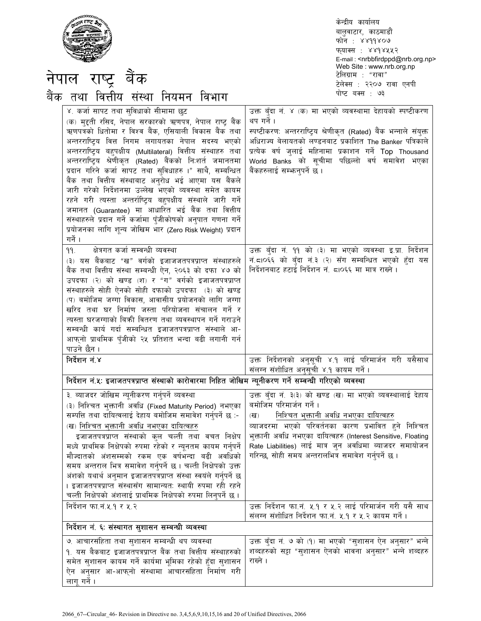|--|

केन्द्रीय कार्यालय बालुवाटार, काठमाडौं फोन: ४४११४०७ फ्याक्स : ४४१४५५२ E-mail: <nrbbfirdppd@nrb.org.np> Web Site : www.nrb.org.np टेलिग्राम : "रावा" टेलेक्स : २२०७ रावा एनपी पोष्ट बक्स : ७३

| नेपाल राष्ट्र बैंक                                                                                                                                                                                                                                                                                                                                                                                                                                                                                                                                                                                                                                                                                                                                                                    | Web Site: www.nrb.org.np<br>टेलिग्राम : "रावा"<br>टेलेक्स : २२०७ रावा एनपी                                                                                                                                                                                                                                                                                                     |
|---------------------------------------------------------------------------------------------------------------------------------------------------------------------------------------------------------------------------------------------------------------------------------------------------------------------------------------------------------------------------------------------------------------------------------------------------------------------------------------------------------------------------------------------------------------------------------------------------------------------------------------------------------------------------------------------------------------------------------------------------------------------------------------|--------------------------------------------------------------------------------------------------------------------------------------------------------------------------------------------------------------------------------------------------------------------------------------------------------------------------------------------------------------------------------|
| बैंक तथा वित्तीय संस्था नियमन विभाग                                                                                                                                                                                                                                                                                                                                                                                                                                                                                                                                                                                                                                                                                                                                                   | पोष्ट बक्स : ७३                                                                                                                                                                                                                                                                                                                                                                |
| ४. कर्जा सापट तथा सुविधाको सीमामा छुट<br>(क) मुद्दती रसिद, नेपाल सरकारको ऋणपत्र, नेपाल राष्ट्र बैंक<br>ऋणपत्रको धितोमा र विश्व बैंक, एसियाली विकास बैंक तथा<br>अन्तरराष्ट्रिय वित्त निगम लगायतका नेपाल सदस्य भएको<br>अन्तरराष्ट्रिय बहुपक्षीय (Multilateral) वित्तीय संस्थाहरु तथा<br>अन्तरराष्ट्रिय श्रेणीकृत (Rated) बैंकको निःशर्त जमानतमा<br>प्रदान गरिने कर्जा सापट तथा सुविधाहरु ।" साथै, सम्बन्धित<br>बैंक तथा वित्तीय संस्थाबाट अनुरोध भई आएमा यस बैंकले<br>जारी गरेको निर्देशनमा उल्लेख भएको व्यवस्था समेत कायम<br>रहने गरी त्यस्ता अन्तर्राष्ट्रिय बहुपक्षीय संस्थाले जारी गर्ने<br>जमानत (Guarantee) मा आधारित भई बैंक तथा वित्तीय<br>संस्थाहरुले प्रदान गर्ने कर्जामा पुँजीकोषको अनुपात गणना गर्ने<br>प्रयोजनका लागि शून्य जोखिम भार (Zero Risk Weight) प्रदान<br>गर्ने । | उक्त बँदा नं. ४ (क) मा भएको व्यवस्थामा देहायको स्पष्टीकरण<br>थप गर्ने ।<br>स्पष्टीकरण: अन्तरराष्ट्रिय श्रेणीकृत (Rated) बैंक भन्नाले संयुक्त<br>अधिराज्य बेलायतको लण्डनबाट प्रकाशित The Banker पत्रिकाले<br>प्रत्येक वर्ष जुलाई महिनामा प्रकाशन गर्ने Top Thousand<br>World Banks को सूचीमा पछिल्लो वर्ष समावेश भएका<br>बैंकहरुलाई सम्भान्।पर्ने छ ।                           |
| क्षेत्रगत कर्जा सम्वन्धी व्यवस्था<br>۹۹.<br>(३) यस बैंकबाट "ख" वर्गको इजाजजतपत्रप्राप्त संस्थाहरुले<br>बैंक तथा वित्तीय संस्था सम्बन्धी ऐन, २०६३ को दफा ४७ को<br>उपदफा (२) को खण्ड (श) र "ग" वर्गको इजाजतपत्रप्राप्त<br>संस्थाहरुले सोही ऐनको सोही दफाको उपदफा (३) को खण्ड<br>(प) बमोजिम जग्गा विकास, आवासीय प्रयोजनको लागि जग्गा<br>खरिद तथा घर निर्माण जस्ता परियोजना संचालन गर्ने र<br>त्यस्ता घरजग्गाको बिक्री वितरण तथा व्यवस्थापन गर्ने गराउने<br>सम्बन्धी कार्य गर्दा सम्बन्धित इजाजतपत्रप्राप्त संस्थाले आ-<br>आफ्नो प्राथमिक पँजीको २५ प्रतिशत भन्दा बढी लगानी गर्न<br>पाउने छैन ।                                                                                                                                                                                           | उक्त बुँदा नं. ११ को (३) मा भएको व्यवस्था इ.प्रा. निर्देशन<br>नं.८10६६ को बुँदा नं.३ (२) सँग सम्बन्धित भएको हुँदा यस<br>निर्देशनबाट हटाई निर्देशन नं. ८।०६६ मा मात्र राख्ने ।                                                                                                                                                                                                  |
| निर्देशन नं.४                                                                                                                                                                                                                                                                                                                                                                                                                                                                                                                                                                                                                                                                                                                                                                         | उक्त निर्देशनको अनुसूची ४.१ लाई परिमार्जन गरी यसैसाथ<br>संलग्न संशोधित अनुसूची ४.१ कायम गर्ने ।                                                                                                                                                                                                                                                                                |
| निर्देशन नं.५: इजाजतपत्रप्राप्त संस्थाको कारोवारमा निहित जोखिम न्यूनीकरण गर्ने सम्वन्धी गरिएको व्यवस्था                                                                                                                                                                                                                                                                                                                                                                                                                                                                                                                                                                                                                                                                               |                                                                                                                                                                                                                                                                                                                                                                                |
| ३. ब्याजदर जोखिम न्यूनीकरण गर्नुपर्ने व्यवस्था<br>(३) निश्चित भुक्तानी अवधि (Fixed Maturity Period) नभएका<br>सम्पत्ति तथा दायित्वलाई देहाय बमोजिम समावेश गर्नपर्ने छ :-<br>(ख) निश्चित भुक्तानी अ <u>वधि नभएका दायित्वहरु</u><br>इजाजतपत्रप्राप्त संस्थाको कुल चल्ती तथा वचत निक्षेप<br>मध्ये प्राथमिक निक्षेपको रुपमा रहेको र न्यूनतम कायम गर्नुपर्ने<br>मौज्दातको अंशसम्मको रकम एक वर्षभन्दा बढी अवधिको<br>समय अन्तराल भित्र समावेश गर्नुपर्ने छ । चल्ती निक्षेपको उक्त<br>अंशको यथार्थ अनुमान इजाजतपत्रप्राप्त संस्था स्वयंले गर्नुपर्ने छ<br>। इजाजतपत्रप्राप्त संस्थासँग सामान्यत: स्थायी रुपमा रही रहने<br>चल्ती निक्षेपको अंशलाई प्राथमिक निक्षेपको रुपमा लिन्पर्ने छ ।                                                                                                        | उक्त बुँदा नं. ३(३) को खण्ड (ख) मा भएको व्यवस्थालाई देहाय<br>बमोजिम परिमार्जन गर्ने ।<br>निश्चित भक्तानी अवधि नभएका दायित्वहरु<br>(ख)<br>व्याजदरमा भएको परिवर्तनका कारण प्रभावित हुने निश्चित<br>भुक्तानी अवधि नभएका दायित्वहरु (Interest Sensitive, Floating<br>Rate Liabilities) लाई मात्र जुन अवधिमा ब्याजदर समायोजन<br>गरिन्छ, सोही समय अन्तरालभित्र समावेश गर्नुपर्ने छ । |
| निर्देशन फा.नं.५.१ र ५.२                                                                                                                                                                                                                                                                                                                                                                                                                                                                                                                                                                                                                                                                                                                                                              | उक्त निर्देशन फा.नं. ५.१ र ५.२ लाई परिमार्जन गरी यसै साथ<br>संलग्न संशोधित निर्देशन फा.नं. ५.१ र ५.२ कायम गर्ने ।                                                                                                                                                                                                                                                              |
| निर्देशन नं. ६: संस्थागत सुशासन सम्बन्धी व्यवस्था                                                                                                                                                                                                                                                                                                                                                                                                                                                                                                                                                                                                                                                                                                                                     |                                                                                                                                                                                                                                                                                                                                                                                |
| ७. आचारसंहिता तथा सुशासन सम्बन्धी थप व्यवस्था<br>१. यस बैकबाट इजाजतपत्रप्राप्त बैंक तथा वित्तीय संस्थाहरुको<br>समेत सुशासन कायम गर्ने कार्यमा भूमिका रहेको हुँदा सुशासन<br>ऐन अनुसार आ-आफ्नो संस्थामा आचारसंहिता निर्माण गरी<br>लाग गर्ने ।                                                                                                                                                                                                                                                                                                                                                                                                                                                                                                                                           | उक्त बुँदा नं. ७ को (१) मा भएको "सुशासन ऐन अनुसार" भन्ने<br>शब्दहरुको सट्टा "सुशासन ऐनको भावना अनुसार" भन्ने शब्दहरु<br>राख्ने ।                                                                                                                                                                                                                                               |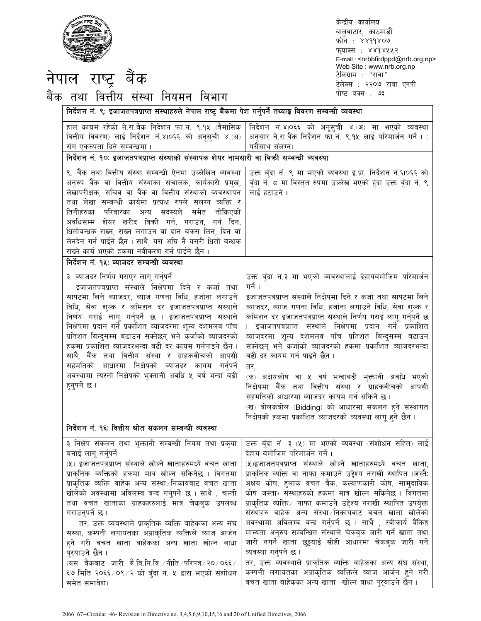

नपाल राष्ट्र बक

केन्द्रीय कार्यालय बालुवाटार, काठमाडौं फोन: ४४११४०७ फ्याक्स : ४४१४५५२ E-mail : <nrbbfirdppd@nrb.org.np> Web Site : www.nrb.org.np टेलिग्राम : "रावा" टेलेक्स : २२०७ रावा एनपी पोष्ट बक्स : ७३

| बक तथा वित्ताय संस्था नियमन विभाग                                                                                                                                                                                                                                                                                                                                                                                                                                                                                                                                                                                                                                                                                |                                                                                                                                                                                                                                                                                                                                                                                                                                                                                                                                                                                                                                                                                                                                                                                                                                        |
|------------------------------------------------------------------------------------------------------------------------------------------------------------------------------------------------------------------------------------------------------------------------------------------------------------------------------------------------------------------------------------------------------------------------------------------------------------------------------------------------------------------------------------------------------------------------------------------------------------------------------------------------------------------------------------------------------------------|----------------------------------------------------------------------------------------------------------------------------------------------------------------------------------------------------------------------------------------------------------------------------------------------------------------------------------------------------------------------------------------------------------------------------------------------------------------------------------------------------------------------------------------------------------------------------------------------------------------------------------------------------------------------------------------------------------------------------------------------------------------------------------------------------------------------------------------|
| निर्देशन नं. ९: इजाजतपत्रप्राप्त संस्थाहरुले नेपाल राष्ट्र बैंकमा पेश गर्नुपर्ने तथ्याङ्ग विवरण सम्वन्धी व्यवस्था                                                                                                                                                                                                                                                                                                                                                                                                                                                                                                                                                                                                |                                                                                                                                                                                                                                                                                                                                                                                                                                                                                                                                                                                                                                                                                                                                                                                                                                        |
| हाल कायम रहेको ने.रा.बैंक निर्देशन फा.नं. ९.१५ (त्रैमासिक<br>वित्तीय विवरण) लाई निर्देशन नं.४।०६६ को अनूसूची ४.(अ)<br>संग एकरुपता दिने सम्बन्धमा ।<br>निर्देशन नं. १०: इजाजतपत्रप्राप्त संस्थाको संस्थापक शेयर नामसारी वा बिकी सम्बन्धी व्यवस्था                                                                                                                                                                                                                                                                                                                                                                                                                                                                 | निर्देशन नं.४।०६६ को अनूसुची ४.(अ) मा भएको व्यवस्था<br>अनुसार ने.रा.बैंक निर्देशन फा.नं. ९.१५ लाई परिमार्जन गर्ने । (<br>यसैसाथ संलग्न)                                                                                                                                                                                                                                                                                                                                                                                                                                                                                                                                                                                                                                                                                                |
| ९. बैंक तथा वित्तीय संस्था सम्बन्धी ऐनमा उल्लेखित व्यवस्था<br>अनुरुप बैंक वा वित्तीय संस्थाका संचालक, कार्यकारी प्रमुख,<br>लेखापरीक्षक, सचिव वा बैंक वा वित्तीय संस्थाको व्यवस्थापन<br>तथा लेखा सम्बन्धी कार्यमा प्रत्यक्ष रुपले संलग्न व्यक्ति र<br>तिनीहरुका परिवारका अन्य सदस्यले समेत तोकिएको<br>अवधिसम्म शेयर खरीद विक्री गर्न, गराउन, गर्न दिन,<br>धितोबन्धक राख्न, राख्न लगाउन वा दान बकस लिन, दिन वा<br>लेनदेन गर्न पाईने छैन। साथै, यस अधि नै यसरी धितो बन्धक<br>राख्ने कार्य भएको हकमा नवीकरण गर्न पाईने छैन ।                                                                                                                                                                                         | उक्त बुँदा नं. ९ मा भएको व्यवस्था इ.प्रा. निर्देशन नं.६।०६६ को<br>बुँदा नं. ८ मा विस्तृत रुपमा उल्लेख भएको हुँदा उक्त बुँदा नं. ९<br>लाई हटाउने ।                                                                                                                                                                                                                                                                                                                                                                                                                                                                                                                                                                                                                                                                                      |
| निर्देशन नं. १५: ब्याजदर सम्बन्धी व्यवस्था                                                                                                                                                                                                                                                                                                                                                                                                                                                                                                                                                                                                                                                                       |                                                                                                                                                                                                                                                                                                                                                                                                                                                                                                                                                                                                                                                                                                                                                                                                                                        |
| ३. ब्याजदर निर्णय गराएर लागू गर्नुपर्ने<br>इजाजतपत्रप्राप्त संस्थाले निक्षेपमा दिने र कर्जा तथा<br>सापटमा लिने ब्याजदर, ब्याज गणना विधि, हर्जाना लगाउने<br>विधि, सेवा शुल्क र कमिशन दर इजाजतपत्रप्राप्त संस्थाले<br>निर्णय गराई लागू गर्नुपर्ने छ । इजाजतपत्रप्राप्त संस्थाले<br>निक्षेपमा प्रदान गर्ने प्रकाशित व्याजदरमा शून्य दशमलव पाँच<br>प्रतिशत बिन्दुसम्म बढाउन सक्नेछन् भने कर्जाको व्याजदरको<br>हकमा प्रकाशित व्याजदरभन्दा बढी दर कायम गर्नपाइने छैन ।<br>साथै, बैंक तथा वित्तीय संस्था र ग्राहकवीचको आपसी<br>सहमतिको आधारमा निक्षेपको व्याजदर कायम गर्नुपर्ने<br>अवस्थामा त्यस्तो निक्षेपको भुक्तानी अवधि ५ वर्ष भन्दा बढी<br>हुनुपर्ने छ ।<br>निर्देशन नं. १६: वित्तीय श्रोत संकलन सम्बन्धी व्यवस्था | उक्त बँदा नं.३ मा भएको व्यवस्थालाई देहायबमोजिम परिमार्जन<br>गर्ने ।<br>इजाजतपत्रप्राप्त संस्थाले निक्षेपमा दिने र कर्जा तथा सापटमा लिने<br>ब्याजदर, ब्याज गणना विधि, हर्जाना लगाउने विधि, सेवा शुल्क र<br>कमिशन दर इजाजतपत्रप्राप्त संस्थाले निर्णय गराई लागू गर्नुपर्ने छ<br>। इजाजतपत्रप्राप्त संस्थाले निक्षेपमा प्रदान गर्ने प्रकाशित<br>व्याजदरमा शून्य दशमलव पाँच प्रतिशत बिन्दुसम्म बढाउन<br>सक्नेछन् भने कर्जाको व्याजदरको हकमा प्रकाशित व्याजदरभन्दा<br>बढी दर कायम गर्न पाइने छैन ।<br>तर,<br>(क) अक्षयकोष वा ५ वर्ष भन्दाबढी भुक्तानी अवधि भएको<br>निक्षेपमा बैंक तथा वित्तीय संस्था र ग्राहकवीचको आपसी<br>सहमतिको आधारमा व्याजदर कायम गर्न सकिने छ।<br>(ख) बोलकबोल (Bidding) को आधारमा संकलन हने संस्थागत<br>निक्षेपको हकमा प्रकाशित व्याजदरको व्यवस्था लागू हुने छैन ।                                                    |
|                                                                                                                                                                                                                                                                                                                                                                                                                                                                                                                                                                                                                                                                                                                  | ३ निक्षेप संकलन तथा भुक्तानी सम्वन्धी नियम तथा प्रकृया   उक्त बुँदा नं. ३ (५) मा भएको व्यवस्था (संशोधन सहित) लाई                                                                                                                                                                                                                                                                                                                                                                                                                                                                                                                                                                                                                                                                                                                       |
| बनाई लागू गर्नुपर्ने<br>(५) इजाजतपत्रप्राप्त संस्थाले खोल्ने खाताहरुमध्ये वचत खाता<br>प्राकृतिक व्यक्तिको हकमा मात्र खोल्न सकिनेछ । विगतमा<br>प्राकृतिक व्यक्ति वाहेक अन्य संस्था निकायवाट वचत खाता<br>खोलेको अवस्थामा अविलम्ब बन्द गर्नुपर्ने छ । साथै , चल्ती<br>तथा वचत खाताका ग्राहकहरुलाई मात्र चेकवुक उपलव्ध<br>गराउनुपर्ने छ ।<br>तर, उक्त व्यवस्थाले प्राकृतिक व्यक्ति बाहेकका अन्य संघ<br>संस्था, कम्पनी लगायतका अप्राकृतिक व्यक्तिले व्याज आर्जन<br>हने गरी वचत खाता बाहेकका अन्य खाता खोल्न बाधा<br>प्र्याउने छैन ।<br>(यस  बैंकबाट  जारी  बै.वि.नि.वि. ∕ नीति ⁄ परिपत्र ⁄ २० ⁄ ०६६ ⁄<br>६७ मिति २०६६/०९/२ को बुँदा नं. ५ द्वारा भएको संशोधन<br>समेत समावेश)                                          | देहाय बमोजिम परिमार्जन गर्ने ।<br>(५)इजाजतपत्रप्राप्त संस्थाले खोल्ने खाताहरुमध्ये वचत खाता,<br>प्राकृतिक व्यक्ति वा नाफा कमाउने उद्देश्य नराखी स्थापित (जस्तै:<br>अक्षय कोष, हुलाक वचत बैंक, कल्याणकारी कोष, सामुदायिक<br>कोष जस्ता) संस्थाहरुको हकमा मात्र खोल्न सकिनेछ । विगतमा<br>प्राकृतिक व्यक्ति ∕ नाफा कमाउने उद्देश्य नराखी स्थापित उपर्युक्त<br>संस्थाहरु वाहेक अन्य संस्था निकायवाट वचत खाता खोलेको<br>अवस्थामा अविलम्व बन्द गर्नुपर्ने छ । साथै , स्वीकार्य बैंकिङ्ग<br>मान्यता अनुरुप सम्बन्धित संस्थाले चेकबुक जारी गर्ने खाता तथा<br>जारी नगर्ने खाता छुट्टयाई सोही आधारमा चेकबुक जारी गर्ने<br>व्यवस्था गर्नुपर्ने छ ।<br>तर, उक्त व्यवस्थाले प्राकृतिक व्यक्ति बाहेकका अन्य संघ संस्था,<br>कम्पनी लगायतका अप्राकृतिक व्यक्तिले व्याज आर्जन हुने गरी<br>वचत खाता बाहेकका अन्य खाता  खोल्न बाधा पुर् <b>याउने छैन</b> । |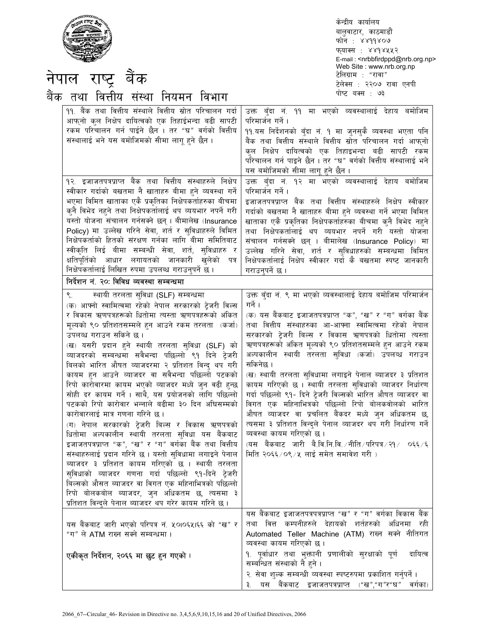| नेपाल राष्ट्र बैंक<br>बैंक तथा वित्तीय संस्था नियमन विभाग                                                                                                                                                                                                                                                                                                                                                                                                                                                                                                                                                                                                                                                                                                                                                                                                                                                                                                                                                                                                                                                         | केन्द्रीय कार्यालय<br>बालुवाटार, काठमाडौं<br>फोन : ४४११४०७<br>फुयाक्स : ४४१४५५२<br>E-mail: < nrbbfirdppd@nrb.org.np><br>Web Site : www.nrb.org.np<br>टेलिग्राम : "रावा"<br>टेलेक्स : २२०७ रावा एनपी<br>पोष्ट बक्स : ७३                                                                                                                                                                                                                                                                                                                                                                                                                                                                                                                                                                                                                                                                   |
|-------------------------------------------------------------------------------------------------------------------------------------------------------------------------------------------------------------------------------------------------------------------------------------------------------------------------------------------------------------------------------------------------------------------------------------------------------------------------------------------------------------------------------------------------------------------------------------------------------------------------------------------------------------------------------------------------------------------------------------------------------------------------------------------------------------------------------------------------------------------------------------------------------------------------------------------------------------------------------------------------------------------------------------------------------------------------------------------------------------------|------------------------------------------------------------------------------------------------------------------------------------------------------------------------------------------------------------------------------------------------------------------------------------------------------------------------------------------------------------------------------------------------------------------------------------------------------------------------------------------------------------------------------------------------------------------------------------------------------------------------------------------------------------------------------------------------------------------------------------------------------------------------------------------------------------------------------------------------------------------------------------------|
| <u> ११. बैंक तथा वित्तीय संस्थाले वित्तीय स्रोत परिचालन गर्दा</u><br>आफ्नो कुल निक्षेप दायित्वको एक तिहाईभन्दा बढी सापटी<br>रकम परिचालन गर्न पाईने छैन । तर "घ" वर्गको वित्तीय<br>संस्थालाई भने यस बमोजिमको सीमा लागू हुने छैन ।<br>१२. इजाजतपत्रप्राप्त बैंक तथा वित्तीय संस्थाहरुले निक्षेप                                                                                                                                                                                                                                                                                                                                                                                                                                                                                                                                                                                                                                                                                                                                                                                                                     | उक्त बँदा नं. ११ मा भएको व्यवस्थालाई देहाय बमोजिम<br>परिमार्जन गर्ने ।<br>११.यस निर्देशनको बुँदा नं. १ मा जुनसुकै व्यवस्था भएता पनि<br>बैंक तथा वित्तीय संस्थाले वित्तीय स्रोत परिचालन गर्दा आफ् <b>नो</b><br>क्ल निक्षेप दायित्वको एक तिहाइभन्दा बढी सापटी रकम<br>परिचालन गर्न पाइने छैन । तर "घ" वर्गको वित्तीय संस्थालाई भने<br>यस बमोजिमको सीमा लागू हुने छैन ।<br>उक्त बुँदा नं. १२ मा भएको व्यवस्थालाई देहाय बमोजिम                                                                                                                                                                                                                                                                                                                                                                                                                                                                |
| स्वीकार गर्दाको बखतमा नै खाताहरु बीमा हुने व्यवस्था गर्ने<br>भएमा विमित खाताका एकै प्रकृतिका निक्षेपकर्ताहरुका बीचमा<br>कुनै विभेद नहुने तथा निक्षेपकर्तालाई थप व्ययभार नपर्ने गरी<br>यस्तो योजना संचालन गर्नसक्ने छन् । बीमालेख (Insurance<br>Policy) मा उल्लेख गरिने सेवा, शर्त र सुविधाहरुले विमित<br>निक्षेपकर्ताको हितको संरक्षण गर्नका लागि बीमा समितिबाट<br>स्वीकृति लिई बीमा सम्बन्धी सेवा, शर्त, सुविधाहरु र<br>क्षतिपूर्तिको आधार लगायतको जानकारी खुलेको पत्र<br>निक्षेपकर्तालाई लिखित रुपमा उपलब्ध गराउन्पर्ने छ ।<br>निर्देशन नं. २०: विविध व्यवस्था सम्बन्धमा                                                                                                                                                                                                                                                                                                                                                                                                                                                                                                                                        | परिमार्जन गर्ने ।<br>इजाजतपत्रप्राप्त बैंक तथा वित्तीय संस्थाहरुले निक्षेप स्वीकार<br>गर्दाको बखतमा नै खाताहरु बीमा हने व्यवस्था गर्ने भएमा विमित<br>खाताका एकै प्रकृतिका निक्षेपकर्ताहरुका बीचमा कुनै विभेद नहुने<br>तथा निक्षेपकर्तालाई थप व्ययभार नपर्ने गरी यस्तो योजना<br>संचालन गर्नसक्ने छन् । बीमालेख (Insurance Policy) मा<br>उल्लेख गरिने सेवा, शर्त र सुविधाहरुको सम्बन्धमा विमित<br>निक्षेपकर्तालाई निक्षेप स्वीकार गर्दा कै बखतमा स्पष्ट जानकारी<br>गराउन्पर्ने छ ।                                                                                                                                                                                                                                                                                                                                                                                                         |
| स्थायी तरलता सुविधा (SLF) सम्बन्धमा<br>(क) आफ्नो स्वामित्वमा रहेको नेपाल सरकारको ट्रेजरी विल्स<br>र विकास ऋणपत्रहरूको धितोमा त्यस्ता ऋणपत्रहरूको अंकित<br>मूल्यको ९० प्रतिशतसम्मले हुन आउने रकम तरलता (कर्जा)<br>उपलब्ध गराउन सकिने छ।<br>(ख) यसरी प्रदान हुने स्थायी तरलता सुविधा (SLF) को<br>व्याजदरको सम्बन्धमा सवैभन्दा पछिल्लो ९१ दिने ट्रेजरी<br>बिलको भारित औषत व्याजदरमा २ प्रतिशत विन्दु थप गरी<br>कायम हन आउने व्याजदर वा सवैभन्दा पछिल्लो पटकको<br>रिपो कारोवारमा कायम भएको व्याजदर मध्ये जुन वढी हुन्छ<br>सोही दर कायम गर्ने । साथै, यस प्रयोजनको लागि पछिल्लो<br>पटकको रिपो कारोवार भन्नाले बढीमा ३० दिन अधिसम्मको<br>कारोवारलाई मात्र गणना गरिने छ ।<br>(ग) नेपाल सरकारको ट्रेजरी बिल्स र विकास ऋणपत्रको<br>धितोमा अल्पकालीन स्थायी तरलता सुविधा यस बैंकबाट<br>इजाजतपत्रप्राप्त "क", "ख" र "ग" वर्गका बैंक तथा वित्तीय<br>संस्थाहरुलाई प्रदान गरिने छ । यस्तो सुविधामा लगाइने पेनाल<br>ब्याजदर ३ प्रतिशत कायम गरिएको छ । स्थायी तरलता<br>सुविधाको व्याजदर गणना गर्दा पछिल्लो ९१-दिने ट्रेजरी<br>बिल्सको औसत ब्याजदर वा विगत एक महिनाभित्रको पछिल्लो<br>रिपो बोलकबोल ब्याजदर, जुन अधिकतम छ, त्यसमा ३ | उक्त बँदा नं. ९ मा भएको व्यवस्थालाई देहाय बमोजिम परिमार्जन<br>गर्ने ।<br>(क) यस बैंकबाट इजाजतपत्रप्राप्त "क", "ख" र "ग" वर्गका बैंक<br>तथा वित्तीय संस्थाहरुका आ-आफ्ना स्वामित्वमा रहेको नेपाल<br>सरकारको टेजरी बिल्स र विकास ऋणपत्रको धितोमा त्यस्ता<br>ऋणपत्रहरूको अंकित मूल्यको ९० प्रतिशतसम्मले हुन आउने रकम<br>अल्पकालीन स्थायी तरलता सुविधा (कर्जा) उपलव्ध गराउन<br>सकिनेछ ।<br>(ख) स्थायी तरलता सुविधामा लगाइने पेनाल ब्याजदर ३ प्रतिशत<br>कायम गरिएको छ । स्थायी तरलता सुविधाको व्याजदर निर्धारण<br>गर्दा पछिल्लो ९१- दिने ट्रेजरी विल्सको भारित औषत व्याजदर वा<br>विगत एक महिनाभित्रको पछिल्लो रिपो बोलकवोलको भारित<br>औषत व्याजदर वा प्रचलित बैंकदर मध्ये जुन अधिकतम छ,<br>त्यसमा ३ प्रतिशत विन्दुले पेनाल व्याजदर थप गरी निर्धारण गर्ने<br>व्यवस्था कायम गरिएको छ।<br>(यस बैंकबाट जारी बै.वि.नि.वि. ∕नीति ∕ परिपत्र ∕ २१ ⁄ ०६६ ∕६<br>मिति २०६६ ⁄ ०९ ⁄ ५ लाई समेत समावेश गरी ) |
| प्रतिशत विन्द्ले पेनाल ब्याजदर थप गरेर कायम गरिने छ ।<br>यस बैंकबाट जारी भएको परिपत्र नं. ५०।०६५।६६ को "ख" र<br>"ग" ले ATM राख्न सक्ने सम्बन्धमा ।<br>एकीकृत निर्देशन, २०६६ मा छुट हुन गएको ।                                                                                                                                                                                                                                                                                                                                                                                                                                                                                                                                                                                                                                                                                                                                                                                                                                                                                                                     | यस बैंकबाट इजाजतपत्रपत्रप्राप्त "ख" र "ग" वर्गका विकास बैंक<br>अधिनमा रही<br>तथा वित्त कम्पनीहरुले देहायको शर्तहरुको<br>Automated Teller Machine (ATM) राख्न सक्ने नीतिगत<br>व्यवस्था कायम गरिएको छ।<br>१. पूर्वाधार तथा भुक्तानी प्रणालीको सुरक्षाको पूर्ण<br>दायित्व<br>सम्बन्धित संस्थाको नै हुने ।                                                                                                                                                                                                                                                                                                                                                                                                                                                                                                                                                                                   |
|                                                                                                                                                                                                                                                                                                                                                                                                                                                                                                                                                                                                                                                                                                                                                                                                                                                                                                                                                                                                                                                                                                                   | २. सेवा शुल्क सम्बन्धी व्यवस्था स्पष्टरुपमा प्रकाशित गर्नुपर्ने ।<br>बैंकबाट इजाजतपत्रप्राप्त ("ख","ग"र"घ"<br>वर्गका)<br>३.<br>यस                                                                                                                                                                                                                                                                                                                                                                                                                                                                                                                                                                                                                                                                                                                                                        |